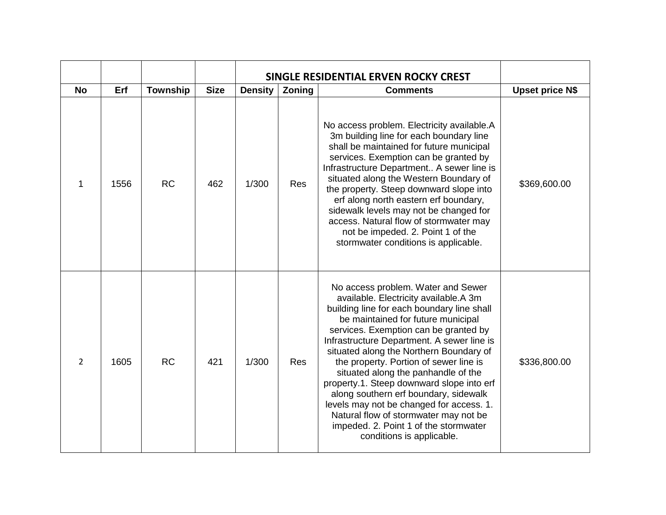|               |      |                 |             |                | SINGLE RESIDENTIAL ERVEN ROCKY CREST |                                                                                                                                                                                                                                                                                                                                                                                                                                                                                                                                                                                                                                     |                        |
|---------------|------|-----------------|-------------|----------------|--------------------------------------|-------------------------------------------------------------------------------------------------------------------------------------------------------------------------------------------------------------------------------------------------------------------------------------------------------------------------------------------------------------------------------------------------------------------------------------------------------------------------------------------------------------------------------------------------------------------------------------------------------------------------------------|------------------------|
| <b>No</b>     | Erf  | <b>Township</b> | <b>Size</b> | <b>Density</b> | Zoning                               | <b>Comments</b>                                                                                                                                                                                                                                                                                                                                                                                                                                                                                                                                                                                                                     | <b>Upset price N\$</b> |
| 1             | 1556 | <b>RC</b>       | 462         | 1/300          | Res                                  | No access problem. Electricity available.A<br>3m building line for each boundary line<br>shall be maintained for future municipal<br>services. Exemption can be granted by<br>Infrastructure Department A sewer line is<br>situated along the Western Boundary of<br>the property. Steep downward slope into<br>erf along north eastern erf boundary,<br>sidewalk levels may not be changed for<br>access. Natural flow of stormwater may<br>not be impeded. 2. Point 1 of the<br>stormwater conditions is applicable.                                                                                                              | \$369,600.00           |
| $\mathcal{L}$ | 1605 | <b>RC</b>       | 421         | 1/300          | <b>Res</b>                           | No access problem. Water and Sewer<br>available. Electricity available.A 3m<br>building line for each boundary line shall<br>be maintained for future municipal<br>services. Exemption can be granted by<br>Infrastructure Department. A sewer line is<br>situated along the Northern Boundary of<br>the property. Portion of sewer line is<br>situated along the panhandle of the<br>property.1. Steep downward slope into erf<br>along southern erf boundary, sidewalk<br>levels may not be changed for access. 1.<br>Natural flow of stormwater may not be<br>impeded. 2. Point 1 of the stormwater<br>conditions is applicable. | \$336,800.00           |